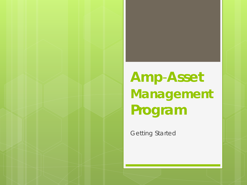# **Amp**-**Asset Management Program**

Getting Started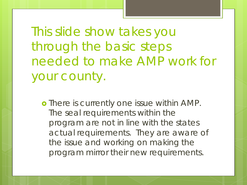This slide show takes you through the basic steps needed to make AMP work for your county.

o There is currently one issue within AMP. The seal requirements within the program are not in line with the states actual requirements. They are aware of the issue and working on making the program mirror their new requirements.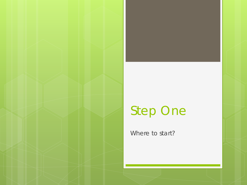### Step One

Where to start?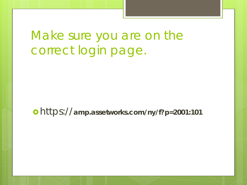Make sure you are on the correct login page.

https://**amp.assetworks.com/ny/f?p=2001:101**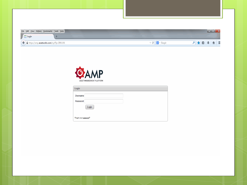| File Edit View History Bookmarks Tools Help                                                 |                           |                              | $\begin{array}{ c c c }\n\hline\n- & \circ & x\n\end{array}$ |
|---------------------------------------------------------------------------------------------|---------------------------|------------------------------|--------------------------------------------------------------|
| $\Box$ Login<br>$\boldsymbol{+}$<br>← A https://amp. <b>assetworks.com</b> /ny/f?p=2001:101 |                           | $\nabla C$ $8$ $\sim$ Google | <b>D ★ B ↓ A E</b>                                           |
|                                                                                             |                           |                              |                                                              |
|                                                                                             |                           |                              |                                                              |
|                                                                                             |                           |                              |                                                              |
|                                                                                             | GAMP                      |                              |                                                              |
|                                                                                             |                           |                              |                                                              |
|                                                                                             | ASSET MANAGEMENT PLATFORM |                              |                                                              |
|                                                                                             | Login                     |                              |                                                              |
|                                                                                             |                           |                              |                                                              |
|                                                                                             | <b>Username</b>           |                              |                                                              |
|                                                                                             | <b>Password</b>           |                              |                                                              |
|                                                                                             | Login                     |                              |                                                              |
|                                                                                             |                           |                              |                                                              |
|                                                                                             | Forgot your password?     |                              |                                                              |
|                                                                                             |                           |                              |                                                              |
|                                                                                             |                           |                              |                                                              |
|                                                                                             |                           |                              |                                                              |
|                                                                                             |                           |                              |                                                              |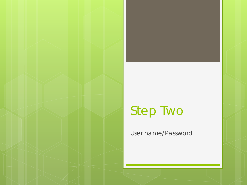### Step Two

User name/Password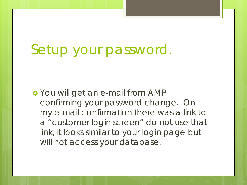# Setup your password.

 You will get an e-mail from AMP confirming your password change. On my e-mail confirmation there was a link to a "customer login screen" do not use that link, it looks similar to your login page but will not access your database.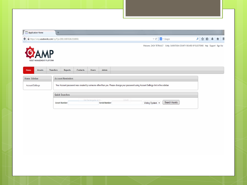| Ħ<br><b>Application Home</b><br>÷<br>$8 - Google$<br>$\mathbbmss{C}^{\mathbbmss{C}}$<br>https://amp.assetworks.com/ny/f?p=2001:5:697028423189501<br>←<br>Welcome: ZACH TETRAULT Entity: SARATOGA COUNTY BOARD OF ELECTIONS Help Support Sign Out<br><b>MP</b><br>ASSET MANAGEMENT PLATFORM | → 自☆ ○<br>$\hat{\mathbf{n}}$ = |
|--------------------------------------------------------------------------------------------------------------------------------------------------------------------------------------------------------------------------------------------------------------------------------------------|--------------------------------|
|                                                                                                                                                                                                                                                                                            |                                |
|                                                                                                                                                                                                                                                                                            |                                |
|                                                                                                                                                                                                                                                                                            |                                |
|                                                                                                                                                                                                                                                                                            |                                |
|                                                                                                                                                                                                                                                                                            |                                |
|                                                                                                                                                                                                                                                                                            |                                |
|                                                                                                                                                                                                                                                                                            |                                |
|                                                                                                                                                                                                                                                                                            |                                |
|                                                                                                                                                                                                                                                                                            |                                |
|                                                                                                                                                                                                                                                                                            |                                |
| <b>Transfers</b><br><b>Contacts</b><br><b>Users</b><br><b>Admin</b><br>Home<br><b>Assets</b><br><b>Reports</b>                                                                                                                                                                             |                                |
| <b>Account Reminders</b><br><b>Home Sidebar</b>                                                                                                                                                                                                                                            |                                |
| Your Account password was created by someone other than you. Please change your password using Account Settings link in the sidebar.<br><b>Account Settings</b>                                                                                                                            |                                |
|                                                                                                                                                                                                                                                                                            |                                |
| <b>Quick Searches</b>                                                                                                                                                                                                                                                                      |                                |
| Get Rectangular Area<br>$Ctrl + R$                                                                                                                                                                                                                                                         |                                |
| Search Assets<br>Voting System +<br><b>Asset Number</b><br><b>Serial Number</b>                                                                                                                                                                                                            |                                |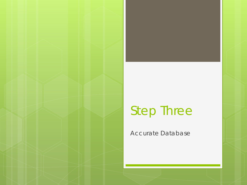#### Step Three

Accurate Database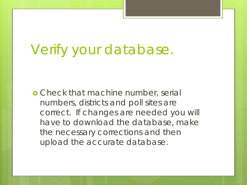# Verify your database.

**o** Check that machine number, serial numbers, districts and poll sites are correct. If changes are needed you will have to download the database, make the necessary corrections and then upload the accurate database.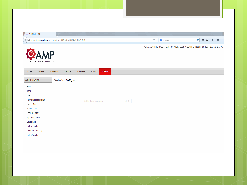| г<br><b>Admin Home</b>                                                                                                                                           |                                        | $\div$                                                                  |                         |                 |                      |       |            |                                                                                         |                                                         |  |  |             |  |
|------------------------------------------------------------------------------------------------------------------------------------------------------------------|----------------------------------------|-------------------------------------------------------------------------|-------------------------|-----------------|----------------------|-------|------------|-----------------------------------------------------------------------------------------|---------------------------------------------------------|--|--|-------------|--|
|                                                                                                                                                                  |                                        | https://amp. <b>assetworks.com</b> /ny/f?p=2001:500:697028423189501::NO |                         |                 |                      |       |            |                                                                                         | $\nabla \mathbf{C}^i$ $\mathbf{8}$ $\rightarrow$ Google |  |  | P ☆ 自 ↓ 合 三 |  |
|                                                                                                                                                                  |                                        |                                                                         |                         |                 |                      |       |            | Welcome: ZACH TETRAULT Entity: SARATOGA COUNTY BOARD OF ELECTIONS Help Support Sign Out |                                                         |  |  |             |  |
|                                                                                                                                                                  | <b>MP</b><br>ASSET MANAGEMENT PLATFORM |                                                                         |                         |                 |                      |       |            |                                                                                         |                                                         |  |  |             |  |
| Home                                                                                                                                                             | <b>Assets</b>                          | <b>Transfers</b>                                                        | <b>Reports</b>          | <b>Contacts</b> | <b>Users</b>         | Admin |            |                                                                                         |                                                         |  |  |             |  |
|                                                                                                                                                                  |                                        |                                                                         | Version 2014-06-20_l182 |                 |                      |       |            |                                                                                         |                                                         |  |  |             |  |
|                                                                                                                                                                  |                                        |                                                                         |                         |                 |                      |       |            |                                                                                         |                                                         |  |  |             |  |
|                                                                                                                                                                  | Pending Maintenance                    |                                                                         |                         |                 | Get Rectangular Area |       | $Ctrl + R$ |                                                                                         |                                                         |  |  |             |  |
|                                                                                                                                                                  |                                        |                                                                         |                         |                 |                      |       |            |                                                                                         |                                                         |  |  |             |  |
|                                                                                                                                                                  |                                        |                                                                         |                         |                 |                      |       |            |                                                                                         |                                                         |  |  |             |  |
|                                                                                                                                                                  |                                        |                                                                         |                         |                 |                      |       |            |                                                                                         |                                                         |  |  |             |  |
|                                                                                                                                                                  |                                        |                                                                         |                         |                 |                      |       |            |                                                                                         |                                                         |  |  |             |  |
|                                                                                                                                                                  |                                        |                                                                         |                         |                 |                      |       |            |                                                                                         |                                                         |  |  |             |  |
| <b>Admin Sidebar</b><br>Entity<br>Town<br>Site<br><b>Export Data</b><br><b>Import Data</b><br>Lookup Editor<br>Zip Code Editor<br>Class Editor<br>Delete Contact | <b>User Session Log</b>                |                                                                         |                         |                 |                      |       |            |                                                                                         |                                                         |  |  |             |  |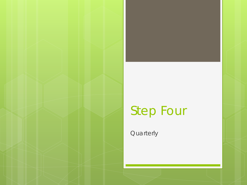### Step Four

**Quarterly**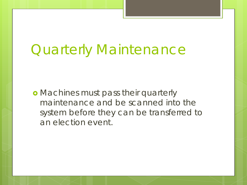# Quarterly Maintenance

**• Machines must pass their quarterly** maintenance and be scanned into the system before they can be transferred to an election event.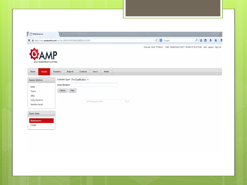| €                                                 | A https://amp <b>.assetworks.com</b> /ny/f?p=2001:547:697028423189501::NO:547:: |          |                      |       |            | $\mathbf{v} \in \mathbb{R}^d$ | $8 - Google$                                                                            |  | P ☆ 自 ↓ A 三 |  |
|---------------------------------------------------|---------------------------------------------------------------------------------|----------|----------------------|-------|------------|-------------------------------|-----------------------------------------------------------------------------------------|--|-------------|--|
| ASSET MANAGEMENT PLATFORM                         | <b>MP</b>                                                                       |          |                      |       |            |                               | Welcome: ZACH TETRAULT Entity: SARATOGA COUNTY BOARD OF ELECTIONS Help Support Sign Out |  |             |  |
| Home<br><b>Assets</b>                             | <b>Transfers</b><br>Reports                                                     | Contacts | <b>Users</b>         | Admin |            |                               |                                                                                         |  |             |  |
| <b>Assets Sidebar</b>                             | Schedule Type* Pre-Qualification v                                              |          |                      |       |            |                               |                                                                                         |  |             |  |
| Entity<br>Towns                                   | <b>Asset Number*</b><br>Next<br>Cancel                                          |          |                      |       |            |                               |                                                                                         |  |             |  |
| Sites<br>Voting Systems<br><b>Inventory Asset</b> |                                                                                 |          | Get Rectangular Area |       | $Ctrl + R$ |                               |                                                                                         |  |             |  |
| <b>Asset Tasks</b>                                |                                                                                 |          |                      |       |            |                               |                                                                                         |  |             |  |
| <b>Maintenance</b>                                |                                                                                 |          |                      |       |            |                               |                                                                                         |  |             |  |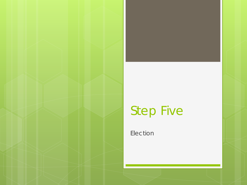# Step Five

Election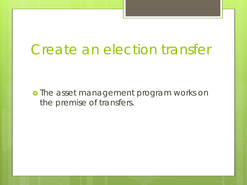## Create an election transfer

o The asset management program works on the premise of transfers.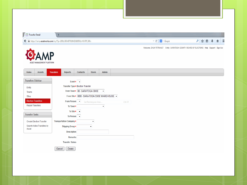| <b>Transfer Detail</b>          | $\div$                                                                             |                 |                                             |                          |            |                                                                                         |              |  |              |    |   |
|---------------------------------|------------------------------------------------------------------------------------|-----------------|---------------------------------------------|--------------------------|------------|-----------------------------------------------------------------------------------------|--------------|--|--------------|----|---|
|                                 | A https://amp. <b>assetworks.com</b> /ny/f?p=2001:360:697028423189501::NO:RP,360:: |                 |                                             |                          |            | $\triangledown$ C                                                                       | $8 - Google$ |  | $\mathsf{p}$ | ☆自 | 俞 |
| ASSET MANAGEMENT PLATFORM       |                                                                                    |                 |                                             |                          |            | Welcome: ZACH TETRAULT Entity: SARATOGA COUNTY BOARD OF ELECTIONS Help Support Sign Out |              |  |              |    |   |
| Home<br><b>Assets</b>           | <b>Transfers</b><br>Reports                                                        | <b>Contacts</b> | <b>Users</b>                                | <b>Admin</b>             |            |                                                                                         |              |  |              |    |   |
| <b>Transfers Sidebar</b>        | Event* $\rightarrow$                                                               |                 |                                             |                          |            |                                                                                         |              |  |              |    |   |
| Entity                          | Transfer Type* Election Transfer                                                   |                 |                                             |                          |            |                                                                                         |              |  |              |    |   |
| Towns                           | From Town* 00 - SARATOGA CBOE                                                      |                 |                                             | $\overline{\phantom{a}}$ |            |                                                                                         |              |  |              |    |   |
| Sites                           |                                                                                    |                 | From Site* 0000 - SARATOGA CBOE WAREHOUSE - |                          |            |                                                                                         |              |  |              |    |   |
| <b>Election Transfers</b>       | From Person                                                                        |                 | Get Rectangular Area                        |                          | $Ctrl + R$ |                                                                                         |              |  |              |    |   |
| <b>Repair Transfers</b>         | To Town*                                                                           |                 |                                             | $\blacktriangledown$     |            |                                                                                         |              |  |              |    |   |
|                                 | To Site $*$ $\rightarrow$                                                          |                 |                                             |                          |            |                                                                                         |              |  |              |    |   |
| <b>Transfer Tasks</b>           | To Person $\rightarrow$                                                            |                 |                                             |                          |            |                                                                                         |              |  |              |    |   |
| <b>Create Election Transfer</b> | <b>Transportation Company*</b>                                                     |                 | $\bar{\mathbf{v}}$                          |                          |            |                                                                                         |              |  |              |    |   |
| Search Active Transfers by      | Shipping Group*                                                                    |                 | $\pmb{\mathrm{v}}$                          |                          |            |                                                                                         |              |  |              |    |   |
|                                 | <b>Description</b>                                                                 |                 |                                             |                          |            |                                                                                         |              |  |              |    |   |
|                                 |                                                                                    |                 |                                             |                          |            |                                                                                         |              |  |              |    |   |
| Asset                           | <b>Remarks</b>                                                                     |                 |                                             |                          |            |                                                                                         |              |  |              |    |   |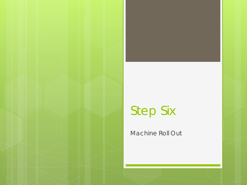# Step Six

Machine Roll Out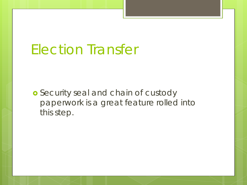# Election Transfer

**o** Security seal and chain of custody paperwork is a great feature rolled into this step.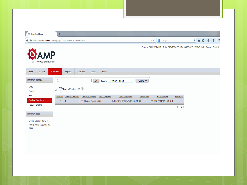| Ē<br><b>Transfers Home</b>                                                                      | ÷                                        |                        |                              |                      |                           |                             |              |                              |                                                                                         |                |  |             |  |
|-------------------------------------------------------------------------------------------------|------------------------------------------|------------------------|------------------------------|----------------------|---------------------------|-----------------------------|--------------|------------------------------|-----------------------------------------------------------------------------------------|----------------|--|-------------|--|
| A https://amp. <b>assetworks.com</b> /ny/f?p=2001:350:697028423189501::NO<br>€                  |                                          |                        |                              |                      |                           |                             |              |                              | $8 - Google$<br>$\mathbf{\nabla} \ \mathbf{C}^i$                                        |                |  | A → ● → ● ■ |  |
| ASSET MANAGEMENT PLATFORM                                                                       |                                          |                        |                              |                      |                           |                             |              |                              | Welcome: ZACH TETRAULT Entity: SARATOGA COUNTY BOARD OF ELECTIONS Help Support Sign Out |                |  |             |  |
| Home<br><b>Assets</b><br><b>Transfers Sidebar</b>                                               | <b>Transfers</b><br><b>Reports</b><br>Q. | <b>Contacts</b>        | <b>Users</b><br>Go           | Admin                | Reports 1. Primary Report |                             | $\mathbf{r}$ | Actions $\blacktriangledown$ |                                                                                         |                |  |             |  |
| Entity<br>Towns                                                                                 | Status = 'Pending' 2<br>$\overline{E}$   |                        |                              |                      |                           |                             |              |                              |                                                                                         |                |  |             |  |
| Sites<br><b>Election Transfers</b>                                                              | <b>View/Edit Transfer Number</b>         | <b>Transfer Method</b> |                              | <b>From Site Num</b> |                           | From Site Name              |              | <b>To Site Num</b>           | To Site Name                                                                            | <b>Remarks</b> |  |             |  |
| <b>Repair Transfers</b>                                                                         | Í<br>$\overline{1}$                      |                        | ET - Election Transfer, 0000 |                      |                           | SARATOGA CBOE WAREHOUSE 001 |              |                              | <b>GALWAY CENTRAL SCHOOL -</b>                                                          | $1 - 1$ of 1   |  |             |  |
| <b>Transfer Tasks</b><br><b>Create Election Transfer</b><br>Search Active Transfers by<br>Asset |                                          |                        |                              |                      |                           |                             |              |                              |                                                                                         |                |  |             |  |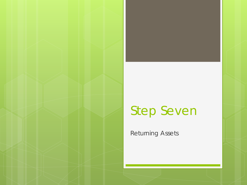#### Step Seven

Returning Assets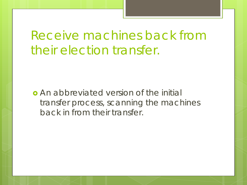#### Receive machines back from their election transfer.

 An abbreviated version of the initial transfer process, scanning the machines back in from their transfer.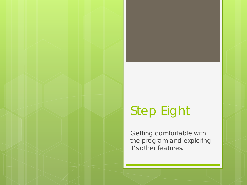#### Step Eight

Getting comfortable with the program and exploring it's other features.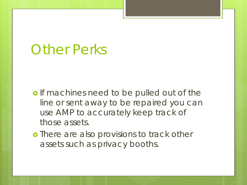#### Other Perks

- o If machines need to be pulled out of the line or sent away to be repaired you can use AMP to accurately keep track of those assets.
- **o** There are also provisions to track other assets such as privacy booths.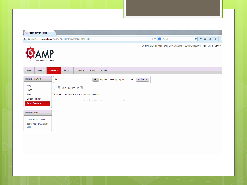|                                     | $\div$                                                                             |                                                         |       |                           |                                        |                                                                                             |           |  |
|-------------------------------------|------------------------------------------------------------------------------------|---------------------------------------------------------|-------|---------------------------|----------------------------------------|---------------------------------------------------------------------------------------------|-----------|--|
|                                     | △ https://amp. <b>assetworks.com</b> /ny/f?p=2001:133:697028423189501::NO:RP,133:: |                                                         |       |                           |                                        | $\nabla$ $\mathbf{C}^{\parallel}$ $\parallel$ $\mathbf{8}$ $\nabla$ Google                  | A ↓ 自 ↓ 令 |  |
|                                     |                                                                                    |                                                         |       |                           |                                        | Welcome: ZACH TETRAULT  Entity: SARATOGA COUNTY BOARD OF ELECTIONS  Help  Support  Sign Out |           |  |
| <b>MP</b>                           |                                                                                    |                                                         |       |                           |                                        |                                                                                             |           |  |
| ASSET MANAGEMENT PLATFORM           |                                                                                    |                                                         |       |                           |                                        |                                                                                             |           |  |
|                                     |                                                                                    |                                                         |       |                           |                                        |                                                                                             |           |  |
| Home<br><b>Assets</b>               | <b>Transfers</b><br><b>Reports</b>                                                 | Contacts<br><b>Users</b>                                | Admin |                           |                                        |                                                                                             |           |  |
|                                     |                                                                                    |                                                         |       |                           |                                        |                                                                                             |           |  |
| <b>Transfers Sidebar</b>            | $\mathsf{Q}_\tau$                                                                  | Go                                                      |       | Reports 1. Primary Report | Actions $\sim$<br>$\blacktriangledown$ |                                                                                             |           |  |
| Entity                              |                                                                                    |                                                         |       |                           |                                        |                                                                                             |           |  |
| Towns                               | Status = 'Pending' V X<br>$\boxminus$                                              |                                                         |       |                           |                                        |                                                                                             |           |  |
| Sites                               |                                                                                    | There are no transfers that match your search criteria. |       |                           |                                        |                                                                                             |           |  |
| <b>Election Transfers</b>           |                                                                                    | Get Rectangular Area                                    |       | $Ctrl + R$                |                                        |                                                                                             |           |  |
| <b>Repair Transfers</b>             |                                                                                    |                                                         |       |                           |                                        |                                                                                             |           |  |
|                                     |                                                                                    |                                                         |       |                           |                                        |                                                                                             |           |  |
| <b>Transfer Tasks</b>               |                                                                                    |                                                         |       |                           |                                        |                                                                                             |           |  |
| Create Repair Transfer              |                                                                                    |                                                         |       |                           |                                        |                                                                                             |           |  |
|                                     |                                                                                    |                                                         |       |                           |                                        |                                                                                             |           |  |
| Search Active Transfers by<br>Asset |                                                                                    |                                                         |       |                           |                                        |                                                                                             |           |  |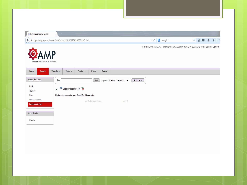| $8 - Google$<br>$\triangledown$ $C^{\prime}$                            | $\equiv$<br>→ 自☆ Q<br>合                                                                 |
|-------------------------------------------------------------------------|-----------------------------------------------------------------------------------------|
|                                                                         | Welcome: ZACH TETRAULT Entity: SARATOGA COUNTY BOARD OF ELECTIONS Help Support Sign Out |
|                                                                         |                                                                                         |
| Reports 1. Primary Report<br>Actions $\sim$<br>$\overline{\phantom{a}}$ |                                                                                         |
|                                                                         |                                                                                         |
| $Ctrl + R$                                                              |                                                                                         |
|                                                                         |                                                                                         |
|                                                                         |                                                                                         |